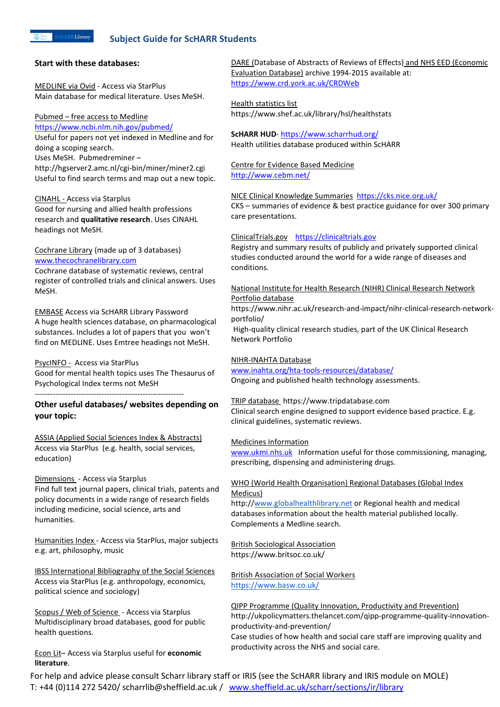# **Subject Guide for ScHARR Students**

#### **Start with these databases:**

MEDLINE via Ovid - Access via StarPlus Main database for medical literature. Uses MeSH.

## Pubmed – free access to Medline

<https://www.ncbi.nlm.nih.gov/pubmed/> Useful for papers not yet indexed in Medline and for doing a scoping search.

Uses MeSH. Pubmedreminer –

http://hgserver2.amc.nl/cgi-bin/miner/miner2.cgi Useful to find search terms and map out a new topic.

## CINAHL - Access via Starplus

Good for nursing and allied health professions research and **qualitative research**. Uses CINAHL headings not MeSH.

# Cochrane Library (made up of 3 databases) [www.thecochranelibrary.com](http://www.thecochranelibrary.com/)

Cochrane database of systematic reviews, central register of controlled trials and clinical answers. Uses MeSH.

EMBASE Access via ScHARR Library Password A huge health sciences database, on pharmacological substances. Includes a lot of papers that you won't find on MEDLINE. Uses Emtree headings not MeSH.

## PsycINFO - Access via StarPlus

Good for mental health topics uses The Thesaurus of Psychological Index terms not MeSH ----------------------------------------------------------

# **Other useful databases/ websites depending on your topic:**

ASSIA (Applied Social Sciences Index & Abstracts) Access via StarPlus (e.g. health, social services, education)

Dimensions - Access via Starplus Find full text journal papers, clinical trials, patents and policy documents in a wide range of research fields including medicine, social science, arts and humanities.

Humanities Index - Access via StarPlus, major subjects e.g. art, philosophy, music

IBSS International Bibliography of the Social Sciences Access via StarPlus (e.g. anthropology, economics, political science and sociology)

Scopus / Web of Science - Access via Starplus Multidisciplinary broad databases, good for public health questions.

Econ Lit– Access via Starplus useful for **economic literature**.

DARE (Database of Abstracts of Reviews of Effects) and NHS EED (Economic Evaluation Database) archive 1994-2015 available at: <https://www.crd.york.ac.uk/CRDWeb>

# Health statistics list https://www.shef.ac.uk/library/hsl/healthstats

**ScHARR HUD**- <https://www.scharrhud.org/> Health utilities database produced within ScHARR

Centre for Evidence Based Medicine <http://www.cebm.net/>

NICE Clinical Knowledge Summaries <https://cks.nice.org.uk/> CKS – summaries of evidence & best practice guidance for over 300 primary care presentations.

# ClinicalTrials.gov [https://clinicaltrials.gov](https://clinicaltrials.gov/)

Registry and summary results of publicly and privately supported clinical studies conducted around the world for a wide range of diseases and conditions.

# National Institute for Health Research (NIHR) Clinical Research Network Portfolio database

https://www.nihr.ac.uk/research-and-impact/nihr-clinical-research-networkportfolio/

High-quality clinical research studies, part of the UK Clinical Research Network Portfolio

# NIHR-INAHTA Database

[www.inahta.org/hta-tools-resources/database/](http://www.inahta.org/hta-tools-resources/database/) Ongoing and published health technology assessments.

TRIP database https://www.tripdatabase.com Clinical search engine designed to support evidence based practice. E.g. clinical guidelines, systematic reviews.

## Medicines Information

[www.ukmi.nhs.uk](http://www.ukmi.nhs.uk/) Information useful for those commissioning, managing, prescribing, dispensing and administering drugs.

# WHO (World Health Organisation) Regional Databases (Global Index Medicus)

http:/[/www.globalhealthlibrary.net](http://www.globalhealthlibrary.net/) or Regional health and medical databases information about the health material published locally. Complements a Medline search.

British Sociological Association https://www.britsoc.co.uk/

British Association of Social Workers <https://www.basw.co.uk/>

QIPP Programme (Quality Innovation, Productivity and Prevention) http://ukpolicymatters.thelancet.com/qipp-programme-quality-innovationproductivity-and-prevention/ Case studies of how health and social care staff are improving quality and productivity across the NHS and social care.

For help and advice please consult Scharr library staff or IRIS (see the ScHARR library and IRIS module on MOLE) T: +44 (0)114 272 5420/ scharrlib@sheffield.ac.uk / [www.sheffield.ac.uk/scharr/sections/ir/library](http://www.sheffield.ac.uk/scharr/sections/ir/library)